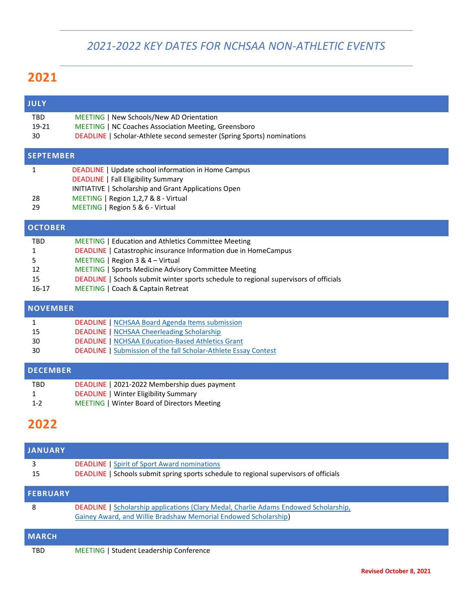### *2021-2022 KEY DATES FOR NCHSAA NON-ATHLETIC EVENTS*

## **2021**

| <b>JULY</b>         |                                                                                                          |  |  |  |
|---------------------|----------------------------------------------------------------------------------------------------------|--|--|--|
| <b>TBD</b><br>19-21 | MEETING   New Schools/New AD Orientation<br><b>MEETING   NC Coaches Association Meeting, Greensboro</b>  |  |  |  |
| 30                  | DEADLINE   Scholar-Athlete second semester (Spring Sports) nominations                                   |  |  |  |
| <b>SEPTEMBER</b>    |                                                                                                          |  |  |  |
|                     | <b>DEADLINE</b>   Update school information in Home Campus<br><b>DEADLINE</b>   Fall Eligibility Summary |  |  |  |
|                     | <b>INITIATIVE</b>   Scholarship and Grant Applications Open                                              |  |  |  |
| 28                  | MEETING   Region 1,2,7 & 8 - Virtual                                                                     |  |  |  |
| 29                  | MEETING   Region 5 & 6 - Virtual                                                                         |  |  |  |
| <b>OCTOBER</b>      |                                                                                                          |  |  |  |
| <b>TBD</b>          | <b>MEETING</b>   Education and Athletics Committee Meeting                                               |  |  |  |
|                     | <b>DEADLINE</b>   Catastrophic insurance Information due in HomeCampus                                   |  |  |  |
| 5.                  | MEETING   Region $3 & 4 - Virtual$                                                                       |  |  |  |
| 12                  | MEETING   Sports Medicine Advisory Committee Meeting                                                     |  |  |  |

- 15 DEADLINE | Schools submit winter sports schedule to regional supervisors of officials
- 16-17 MEETING | Coach & Captain Retreat

#### **NOVEMBER** 1 15 DEADLINE [| NCHSAA Board Agenda Items submission](https://www.nchsaa.org/about/board-directors) DEADLINE [| NCHSAA Cheerleading Scholarship](https://www.nchsaa.org/students-parents/nchsaa-endowed-fund-scholarships) 30 DEADLINE [| NCHSAA Education-Based Athletics Grant](https://www.nchsaa.org/fundraising-grant-opportunities) 30 DEADLINE [| Submission of the fall Scholar-Athlete Essay Contest](https://www.nchsaa.org/scholar-athlete-program)

# **DECEMBER**

TBD DEADLINE | 2021-2022 Membership dues payment 1 DEADLINE | Winter Eligibility Summary 1-2 MEETING | Winter Board of Directors Meeting

# **2022**

| <b>JANUARY</b>  |                                                                                                                                                         |
|-----------------|---------------------------------------------------------------------------------------------------------------------------------------------------------|
| 3<br>15         | <b>DEADLINE</b>   Spirit of Sport Award nominations<br>DEADLINE   Schools submit spring sports schedule to regional supervisors of officials            |
| <b>FEBRUARY</b> |                                                                                                                                                         |
| 8               | DEADLINE   Scholarship applications (Clary Medal, Charlie Adams Endowed Scholarship,<br>Gainey Award, and Willie Bradshaw Memorial Endowed Scholarship) |
| <b>MARCH</b>    |                                                                                                                                                         |
| TBD             | MEETING   Student Leadership Conference                                                                                                                 |